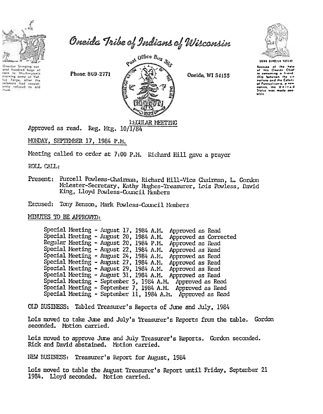

aral hundred bugs at<br>sare to Weshington's thereing army ut Yell<br>Isy Targe, after the<br>Internate had consist-<br>Intily zafused to aid

Oneida Tribe of Indians of Wisconsin





Because of the hot:<br>of this Onaido Chio<br>in comenting a friend ahia botwoon the six nations and the Calony al Pennsylvania, a new<br>nation, itho. United Status was made pos-<br>sible.

Reg. Mtg. 10/1/84<br>Approved as read. Reg. Mtg. 10/1/84

MONDAY, SEPTEMBER 17, 1984 P.M.

Meeting called to order at 7:00 P.M. Richard Hill gave a prayer

ROLL CALL:

Present: Purcell Powless-Chairman, Richard Hill-Vice Chairman, L. Gordon Mclester-Secretary, Kathy Hughes-Treasurer, Lois Powless, David King, Lloyd Powless-Council Members

Excused: Tony Benson, Mark Powless-Council Members

MINUTES TO BE APPROVED:

| Special Meeting - August 17, 1984 A.M. |  |  | Approved as Read                                           |                       |
|----------------------------------------|--|--|------------------------------------------------------------|-----------------------|
| Special Meeting - August 20, 1984 A.M. |  |  |                                                            | Approved as Corrected |
| Regular Meeting - August 20, 1984 P.M. |  |  | Approved as Read                                           |                       |
| Special Meeting - August 22, 1984 A.M. |  |  | Approved as Read                                           |                       |
| Special Meeting - August 24, 1984 A.M. |  |  | Approved as Read                                           |                       |
| Special Meeting - August 27, 1984 A.M. |  |  | Approved as Read                                           |                       |
| Special Meeting - August 29, 1984 A.M. |  |  | Approved as Read                                           |                       |
|                                        |  |  | Special Meeting - August 31, 1984 A.M. Approved as Read    |                       |
|                                        |  |  | Special Meeting - September 5, 1984 A.M. Approved as Read  |                       |
|                                        |  |  | Special Meeting - September 7, 1984 A.M. Approved as Read  |                       |
|                                        |  |  | Special Meeting - September 11, 1984 A.M. Approved as Read |                       |
|                                        |  |  |                                                            |                       |

OLD BUSINESS: Tabled Treasurer's Reports of June and July, 1984

Lois moved to take June and July's Treasurer's Reports from the table. Gordon seconded. Motion carried.

Lois moved to approve June and July Treasurer's Reports. Gordon seconded. RiCk and David abstained. MOtion carried.

NEW BUSINESS: Treasurer's Report for August, 1984

Lois moved to table the August Treasurer's Report until Friday, September 21 1984. Lloyd seconded. Motion carried.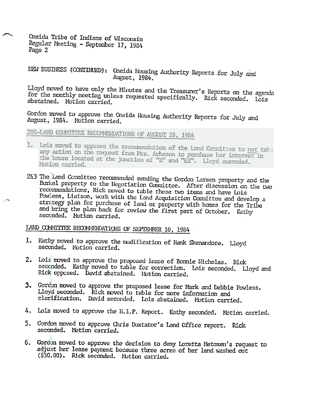Oneida Tribe of Indians of Wisconsin Regular Meeting - September 17, 1984 Page 2

NEW BUSINESS (CONTINUED): Oneida Housing Authority Reports for July and August, 1984.

Lloyd moved to have only the Minutes and the Treasurer's Reports on the agenda for the monthly meeting unless requested specifically. Rick seconded. Lois abstained. Motion carried.

Gordon moved to approve the Oneida Housing Authority Reports for July and August, 1984. Motion carried.

200-LAND COMMITTEE RECOMMENDATIONS OF AUGUST 28, 1984

- 1. Lois moved to approve the recommendation of the Land Committee to not take any action on the request from Mrs. Acheson to purchase her interest in the house located at the junction of "E" and "EE". Lloyd seconded. Motion carried.
- 2&3 The Land Committee recommended sending the Gordon Larsen property and the Burkel property to the Negotiation Committee. After discussion on the two recommendations, Rick moved to table these two items and have Lois Powless, Liaison, work with the Land Acquisition Committee and develop a strategy plan for purchase of land or property with homes for the Tribe and bring the plan back for review the first part of October. Kathy seconded. Motion carried.

LAND COMMITTEE RECOMMENDATIONS OF SEPTEMBER 10, 1984

- 1. Kathy moved to approve the modification of Hank Skenandore. Lloyd seconded. Motion carried.
- 2. Lois moved to approve the proposed lease of Bonnie Nicholas. Rick seconded. Kathy moved to table for correction. Lois seconded. Lloyd and Rick opposed. David abstained. Motion carried.
- 3. Gordon moved to approve the proposed lease for Mark and Debbie Powless. Lloyd seconded. Rick moved to table for more information and clarification. David seconded. Lois abstained. Motion carried.
- 4. Lois moved to approve the H.I.P. Report. Kathy seconded. Motion carried.
- 5. Gordon moved to approve Chris Doxtator's Land Office report. Rick seconded. Motion carried.
- 6. Gordon moved to approve the decision to deny Loretta Metoxen's request to adjust her lease payment because three acres of her land washed out (\$30.00). Rick seconded. Motion carried.